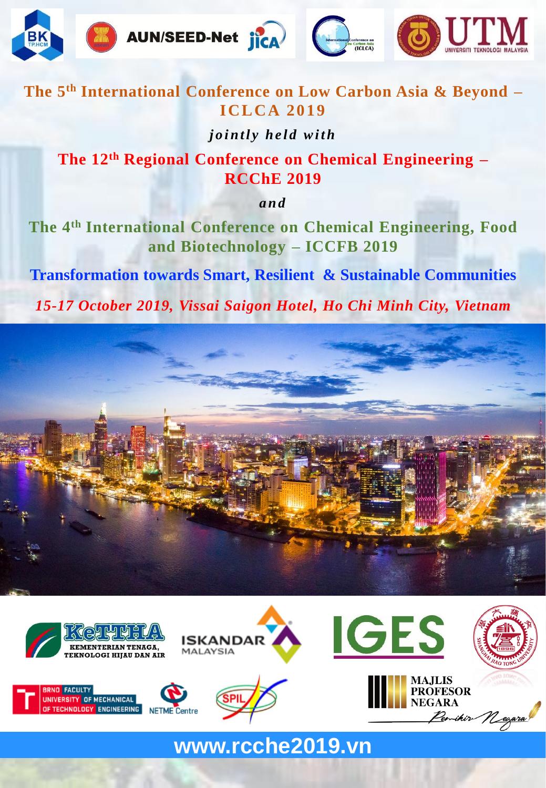







**The 5th International Conference on Low Carbon Asia & Beyond – ICLCA 2019** 

*jointly held with* 

**The 12th Regional Conference on Chemical Engineering – RCChE 2019**

*a n d*

**The 4th International Conference on Chemical Engineering, Food and Biotechnology – ICCFB 2019**

**Transformation towards Smart, Resilient & Sustainable Communities**

*15-17 October 2019, Vissai Saigon Hotel, Ho Chi Minh City, Vietnam*